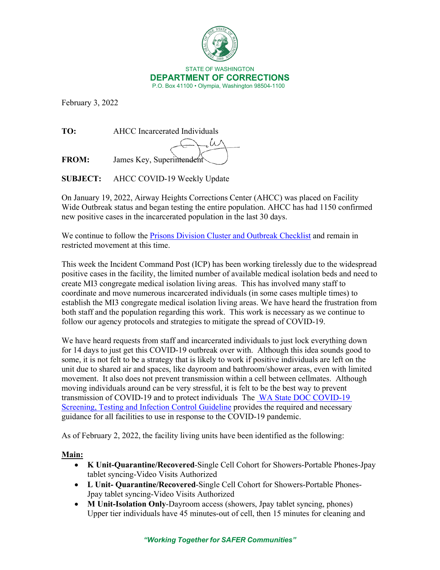

February 3, 2022

**TO:** AHCC Incarcerated Individuals

**FROM:** James Key, Superintendent

**SUBJECT:** AHCC COVID-19 Weekly Update

On January 19, 2022, Airway Heights Corrections Center (AHCC) was placed on Facility Wide Outbreak status and began testing the entire population. AHCC has had 1150 confirmed new positive cases in the incarcerated population in the last 30 days.

We continue to follow the **Prisons Division Cluster and Outbreak Checklist** and remain in restricted movement at this time.

This week the Incident Command Post (ICP) has been working tirelessly due to the widespread positive cases in the facility, the limited number of available medical isolation beds and need to create MI3 congregate medical isolation living areas. This has involved many staff to coordinate and move numerous incarcerated individuals (in some cases multiple times) to establish the MI3 congregate medical isolation living areas. We have heard the frustration from both staff and the population regarding this work. This work is necessary as we continue to follow our agency protocols and strategies to mitigate the spread of COVID-19.

We have heard requests from staff and incarcerated individuals to just lock everything down for 14 days to just get this COVID-19 outbreak over with. Although this idea sounds good to some, it is not felt to be a strategy that is likely to work if positive individuals are left on the unit due to shared air and spaces, like dayroom and bathroom/shower areas, even with limited movement. It also does not prevent transmission within a cell between cellmates. Although moving individuals around can be very stressful, it is felt to be the best way to prevent transmission of COVID-19 and to protect individuals The [WA State DOC COVID-19](https://www.doc.wa.gov/corrections/covid-19/docs/screening-testing-infection-control-guideline.pdf)  [Screening, Testing and Infection Control Guideline](https://www.doc.wa.gov/corrections/covid-19/docs/screening-testing-infection-control-guideline.pdf) provides the required and necessary guidance for all facilities to use in response to the COVID-19 pandemic.

As of February 2, 2022, the facility living units have been identified as the following:

# **Main:**

- **K Unit-Quarantine/Recovered**-Single Cell Cohort for Showers-Portable Phones-Jpay tablet syncing-Video Visits Authorized
- **L Unit- Quarantine/Recovered**-Single Cell Cohort for Showers-Portable Phones-Jpay tablet syncing-Video Visits Authorized
- **M Unit-Isolation Only-Dayroom access (showers, Jpay tablet syncing, phones)** Upper tier individuals have 45 minutes-out of cell, then 15 minutes for cleaning and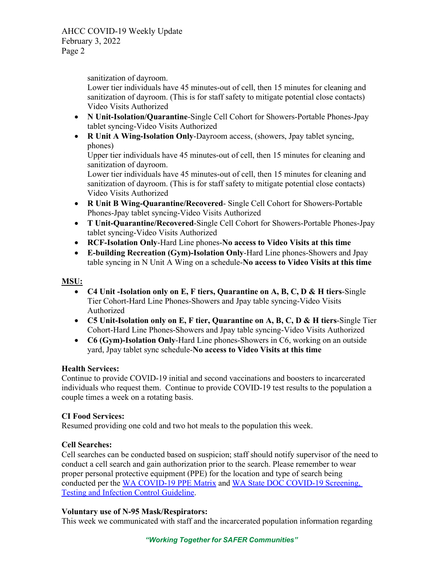AHCC COVID-19 Weekly Update February 3, 2022 Page 2

sanitization of dayroom.

Lower tier individuals have 45 minutes-out of cell, then 15 minutes for cleaning and sanitization of dayroom. (This is for staff safety to mitigate potential close contacts) Video Visits Authorized

- **N Unit-Isolation/Quarantine**-Single Cell Cohort for Showers-Portable Phones-Jpay tablet syncing-Video Visits Authorized
- **R Unit A Wing-Isolation Only**-Dayroom access, (showers, Jpay tablet syncing, phones)

Upper tier individuals have 45 minutes-out of cell, then 15 minutes for cleaning and sanitization of dayroom.

Lower tier individuals have 45 minutes-out of cell, then 15 minutes for cleaning and sanitization of dayroom. (This is for staff safety to mitigate potential close contacts) Video Visits Authorized

- **R Unit B Wing-Quarantine/Recovered** Single Cell Cohort for Showers-Portable Phones-Jpay tablet syncing-Video Visits Authorized
- **T Unit-Quarantine/Recovered**-Single Cell Cohort for Showers-Portable Phones-Jpay tablet syncing-Video Visits Authorized
- **RCF-Isolation Only**-Hard Line phones-**No access to Video Visits at this time**
- **E-building Recreation (Gym)-Isolation Only**-Hard Line phones-Showers and Jpay table syncing in N Unit A Wing on a schedule-**No access to Video Visits at this time**

## **MSU:**

- **C4 Unit -Isolation only on E, F tiers, Quarantine on A, B, C, D & H tiers**-Single Tier Cohort-Hard Line Phones-Showers and Jpay table syncing-Video Visits Authorized
- **C5 Unit-Isolation only on E, F tier, Quarantine on A, B, C, D & H tiers**-Single Tier Cohort-Hard Line Phones-Showers and Jpay table syncing-Video Visits Authorized
- **C6 (Gym)-Isolation Only**-Hard Line phones-Showers in C6, working on an outside yard, Jpay tablet sync schedule-**No access to Video Visits at this time**

### **Health Services:**

Continue to provide COVID-19 initial and second vaccinations and boosters to incarcerated individuals who request them. Continue to provide COVID-19 test results to the population a couple times a week on a rotating basis.

### **CI Food Services:**

Resumed providing one cold and two hot meals to the population this week.

### **Cell Searches:**

Cell searches can be conducted based on suspicion; staff should notify supervisor of the need to conduct a cell search and gain authorization prior to the search. Please remember to wear proper personal protective equipment (PPE) for the location and type of search being conducted per the [WA COVID-19 PPE Matrix](https://doc.wa.gov/corrections/covid-19/docs/ppe-matrix.pdf) and [WA State DOC COVID-19 Screening,](https://www.doc.wa.gov/corrections/covid-19/docs/screening-testing-infection-control-guideline.pdf)  [Testing and Infection Control Guideline.](https://www.doc.wa.gov/corrections/covid-19/docs/screening-testing-infection-control-guideline.pdf)

### **Voluntary use of N-95 Mask/Respirators:**

This week we communicated with staff and the incarcerated population information regarding